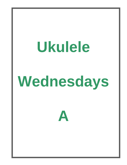## **Ukulele**

# **Wednesdays**

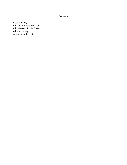## **Contents**

[Act Naturally](#page-2-0) [All I Do is Dream of You](#page-4-0) [All I Have to Do Is Dream](#page-5-0) [All My Loving](#page-6-0) [Anarchy in the UK](#page-7-0)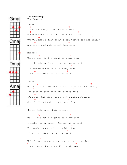<span id="page-2-0"></span>**Act Naturally**  Gma The Beatles Verse: G C They're gonna put me in the movies G D They're gonna make a big star out of me G CONTROL CONTROL CONTROL CONTROL CONTROL CONTROL CONTROL CONTROL CONTROL CONTROL CONTROL CONTROL CONTROL CONTROL CONTROL CONTROL CONTROL CONTROL CONTROL CONTROL CONTROL CONTROL CONTROL CONTROL CONTROL CONTROL CONTROL CONT They'll make a film about a man that's sad and lonely .mai D G And all I gotta do is Act Naturally. Middle: D G Well I bet you I'm gonna be a big star D G I might win an Oscar You can never tell D G The movies gonna make me a big star A D 'Cos I can play the part so well. Verse: G CONTROL CONTROL CONTROL CONTROL CONTROL CONTROL CONTROL CONTROL CONTROL CONTROL CONTROL CONTROL CONTROL CONTROL CONTROL CONTROL CONTROL CONTROL CONTROL CONTROL CONTROL CONTROL CONTROL CONTROL CONTROL CONTROL CONTROL CONT We'll make a film about a man that's sad and lonely G D And begging down upon his bended knee G C I'll play the part But I won't need rehearsin' D G Cos all I gotta do is Act Naturally. Guitar Solo (play this twice): D G Well I bet you I'm gonna be a big star D G I might win an Oscar You can never tell D G The movies gonna make me a big star A D 'Cos I can play the part so well. G C Well I hope you come and see me in the movies G D Then I know that you will plainly see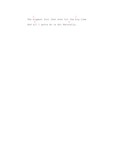G C The biggest fool that ever hit the big time D G And all I gotta do is Act Naturally.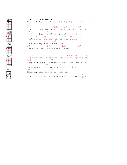### <span id="page-4-0"></span>**All I Do is Dream of You**

Edim

Ħ

HESE RESERVE

Words & Music by Arthur Freed & Nacio Herb Brown 1934

A Edim Bm7 E7 All I do is dream of you the whole night through Bm7 E7 A With the dawn I still go on and dream of you. A7 A9 A7 A9 You're every thought, you're everything, D<sub>6</sub> D<sub>D</sub> D<sub>m6</sub> You're every song I ever sing B7 E7 Bm7 E7 Summer, Winter, Autumn and Spring.

A Edim Bm7 E7 And were there more than twenty-four hours a day, Bm7 E7 A They'd be spent in sweet content, dreaming away A7 A9 A7 A9 When skies are grey, when skies are blue D6 D Dm6 Morning, noon and night-time, too A B7 E7 A All I do the whole day through, is dream of you.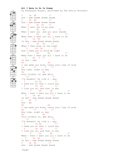<span id="page-5-0"></span>**All I Have to Do Is Dream**  by Boudleaux Bryant, performed by The Everly Brothers F Dm Bb C7 Dre - eam dream dream dream F Dm Bb C7 Dre - eam dream dream dream F Dm Gm C7 When I want you in my arms F Dm Gm C7 When I want you and all your charms F Dm Bb C7 When ever I want you all I have to do F Dm Bb C7 Is dre - eam dream dream dream F Dm Gm C7 When I feel blue in the night F Dm Gm C7 And I need you to hold me tight F Dm Bb C7 When ever I want you all I have to do F Bb F F7 Is dre - eam Bb Am I can make you mine, taste your lips of wine Gm C7 F F7 Any time, night or day Bb Am Only trouble is, gee whiz, G7 C7 I'm dreamin' my life a - way. F Dm Gm C7 I need you so that I could die F Dm Gm C7 I love you so, and that is why F Dm Bb C7 When - ever I want you all I have to do F Dm Bb C7 Is dre - eam dream dream dream F Bb F Dre - am Bb Am I can make you mine, taste your lips of wine Gm C7 F F7 Any time, night or day Bb Am Only trouble is, gee whiz, G7 C7 I'm dreamin' my life a - way. F Dm Gm C7 I need you so that I could die F Dm Gm C7 I love you so, and that is why F Dm Bb C7 When - ever I want you all I have to do F Dm Bb C7 Is dre - eam dream dream dream F Dm Bb C7 dre - eam dream dream dream [fade]

 $\mathbf F$ 

 $\begin{array}{c}\n\hline\n\text{Dm} \\
\hline\n\text{Dm}\n\end{array}$ 

 $\frac{1}{\sqrt{\frac{1}{\sqrt{1+\frac{1}{\sqrt{1+\frac{1}{\sqrt{1+\frac{1}{\sqrt{1+\frac{1}{\sqrt{1+\frac{1}{\sqrt{1+\frac{1}{\sqrt{1+\frac{1}{\sqrt{1+\frac{1}{\sqrt{1+\frac{1}{\sqrt{1+\frac{1}{\sqrt{1+\frac{1}{\sqrt{1+\frac{1}{\sqrt{1+\frac{1}{\sqrt{1+\frac{1}{\sqrt{1+\frac{1}{\sqrt{1+\frac{1}{\sqrt{1+\frac{1}{\sqrt{1+\frac{1}{\sqrt{1+\frac{1}{\sqrt{1+\frac{1}{\sqrt{1+\frac{1}{\sqrt{1+\frac{1}{\sqrt{1+\frac{1}{\$ 

 $\Box$ 00

**C**<br>C<sub>7</sub><br>C<sub>7</sub><br>C<sub>7</sub>

Am<br> $\frac{2}{\sqrt{2}}$ 

 $rac{Gm}{\Box \bullet}$ 

 $\begin{array}{|c|c|}\n\hline\n\circ\cr\n\end{array}$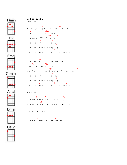

### <span id="page-6-0"></span>**All My Loving** *[Beatles](http://www.chordie.com/song.php/songartist/Beatles%2C+The/index.html)*

 $F \# m$  B7 Close your eyes and I'll kiss you E C#m Tomorrow I'll miss you A F#m D B7 Remember I'll always be true F#m B7 And then while I'm away E C#m I'll write home every day A B7 E And I'll send all my loving to you

 F#m B7 I'll pretend that I'm kissing E C#m the lips I am missing A F#m D B7 And hope that my dreams will come true F#m B7 And then while I'm awa]y E C#m I'll write home every day A B7 E And I'll send all my loving to you







## Chorus:

 $C \# m$   $C +$  E All my loving I will send to you  $C \# m$   $C +$  E All my loving, darling I'll be true

Verse one, chorus.

 C#m E All my loving, all my loving ...